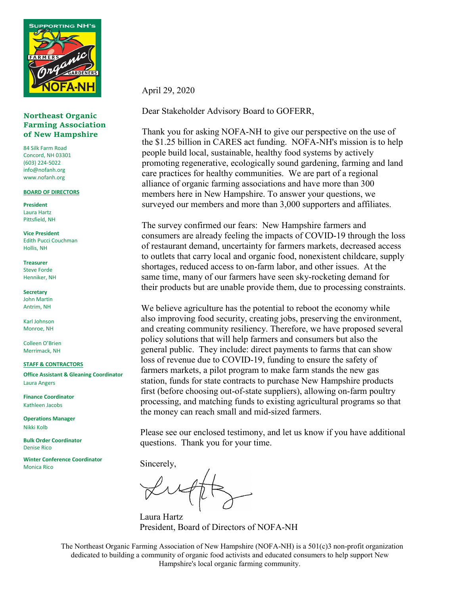

#### **Northeast Organic Farming Association of New Hampshire**

84 Silk Farm Road Concord, NH 03301 (603) 224-5022 info@nofanh.org www.nofanh.org

#### **BOARD OF DIRECTORS**

**President** Laura Hartz Pittsfield, NH

**Vice President** Edith Pucci Couchman Hollis, NH

**Treasurer** Steve Forde Henniker, NH

**Secretary** John Martin Antrim, NH

Karl Johnson Monroe, NH

Colleen O'Brien Merrimack, NH

#### **STAFF & CONTRACTORS**

**Office Assistant & Gleaning Coordinator** Laura Angers

**Finance Coordinator** Kathleen Jacobs

**Operations Manager** Nikki Kolb

**Bulk Order Coordinator** Denise Rico

**Winter Conference Coordinator** Monica Rico

April 29, 2020

Dear Stakeholder Advisory Board to GOFERR,

Thank you for asking NOFA-NH to give our perspective on the use of the \$1.25 billion in CARES act funding. NOFA-NH's mission is to help people build local, sustainable, healthy food systems by actively promoting regenerative, ecologically sound gardening, farming and land care practices for healthy communities. We are part of a regional alliance of organic farming associations and have more than 300 members here in New Hampshire. To answer your questions, we surveyed our members and more than 3,000 supporters and affiliates.

The survey confirmed our fears: New Hampshire farmers and consumers are already feeling the impacts of COVID-19 through the loss of restaurant demand, uncertainty for farmers markets, decreased access to outlets that carry local and organic food, nonexistent childcare, supply shortages, reduced access to on-farm labor, and other issues. At the same time, many of our farmers have seen sky-rocketing demand for their products but are unable provide them, due to processing constraints.

We believe agriculture has the potential to reboot the economy while also improving food security, creating jobs, preserving the environment, and creating community resiliency. Therefore, we have proposed several policy solutions that will help farmers and consumers but also the general public. They include: direct payments to farms that can show loss of revenue due to COVID-19, funding to ensure the safety of farmers markets, a pilot program to make farm stands the new gas station, funds for state contracts to purchase New Hampshire products first (before choosing out-of-state suppliers), allowing on-farm poultry processing, and matching funds to existing agricultural programs so that the money can reach small and mid-sized farmers.

Please see our enclosed testimony, and let us know if you have additional questions. Thank you for your time.

Sincerely,

Laura Hartz President, Board of Directors of NOFA-NH

The Northeast Organic Farming Association of New Hampshire (NOFA-NH) is a 501(c)3 non-profit organization dedicated to building a community of organic food activists and educated consumers to help support New Hampshire's local organic farming community.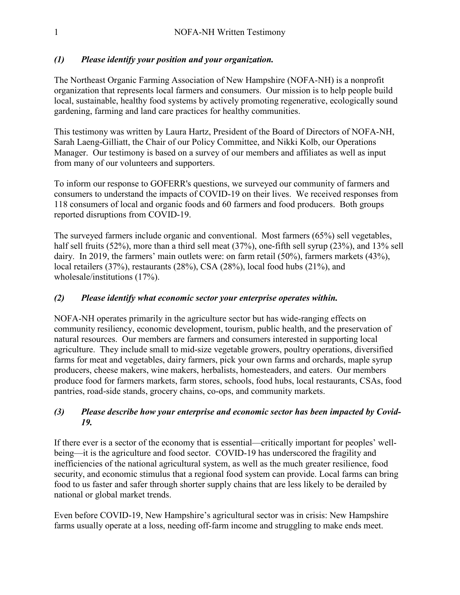#### *(1) Please identify your position and your organization.*

The Northeast Organic Farming Association of New Hampshire (NOFA-NH) is a nonprofit organization that represents local farmers and consumers. Our mission is to help people build local, sustainable, healthy food systems by actively promoting regenerative, ecologically sound gardening, farming and land care practices for healthy communities.

This testimony was written by Laura Hartz, President of the Board of Directors of NOFA-NH, Sarah Laeng-Gilliatt, the Chair of our Policy Committee, and Nikki Kolb, our Operations Manager. Our testimony is based on a survey of our members and affiliates as well as input from many of our volunteers and supporters.

To inform our response to GOFERR's questions, we surveyed our community of farmers and consumers to understand the impacts of COVID-19 on their lives. We received responses from 118 consumers of local and organic foods and 60 farmers and food producers. Both groups reported disruptions from COVID-19.

The surveyed farmers include organic and conventional. Most farmers (65%) sell vegetables, half sell fruits (52%), more than a third sell meat (37%), one-fifth sell syrup (23%), and 13% sell dairy. In 2019, the farmers' main outlets were: on farm retail (50%), farmers markets (43%), local retailers (37%), restaurants (28%), CSA (28%), local food hubs (21%), and wholesale/institutions (17%).

#### *(2) Please identify what economic sector your enterprise operates within.*

NOFA-NH operates primarily in the agriculture sector but has wide-ranging effects on community resiliency, economic development, tourism, public health, and the preservation of natural resources. Our members are farmers and consumers interested in supporting local agriculture. They include small to mid-size vegetable growers, poultry operations, diversified farms for meat and vegetables, dairy farmers, pick your own farms and orchards, maple syrup producers, cheese makers, wine makers, herbalists, homesteaders, and eaters. Our members produce food for farmers markets, farm stores, schools, food hubs, local restaurants, CSAs, food pantries, road-side stands, grocery chains, co-ops, and community markets.

## *(3) Please describe how your enterprise and economic sector has been impacted by Covid-19.*

If there ever is a sector of the economy that is essential—critically important for peoples' wellbeing—it is the agriculture and food sector. COVID-19 has underscored the fragility and inefficiencies of the national agricultural system, as well as the much greater resilience, food security, and economic stimulus that a regional food system can provide. Local farms can bring food to us faster and safer through shorter supply chains that are less likely to be derailed by national or global market trends.

Even before COVID-19, New Hampshire's agricultural sector was in crisis: New Hampshire farms usually operate at a loss, needing off-farm income and struggling to make ends meet.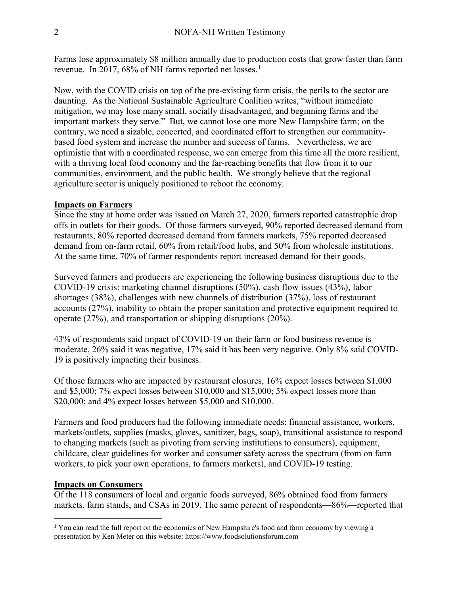Farms lose approximately \$8 million annually due to production costs that grow faster than farm revenue. In 2017, 68% of NH farms reported net losses.<sup>1</sup>

Now, with the COVID crisis on top of the pre-existing farm crisis, the perils to the sector are daunting. As the National Sustainable Agriculture Coalition writes, "without immediate mitigation, we may lose many small, socially disadvantaged, and beginning farms and the important markets they serve." But, we cannot lose one more New Hampshire farm; on the contrary, we need a sizable, concerted, and coordinated effort to strengthen our communitybased food system and increase the number and success of farms. Nevertheless, we are optimistic that with a coordinated response, we can emerge from this time all the more resilient, with a thriving local food economy and the far-reaching benefits that flow from it to our communities, environment, and the public health. We strongly believe that the regional agriculture sector is uniquely positioned to reboot the economy.

#### **Impacts on Farmers**

Since the stay at home order was issued on March 27, 2020, farmers reported catastrophic drop offs in outlets for their goods. Of those farmers surveyed, 90% reported decreased demand from restaurants, 80% reported decreased demand from farmers markets, 75% reported decreased demand from on-farm retail, 60% from retail/food hubs, and 50% from wholesale institutions. At the same time, 70% of farmer respondents report increased demand for their goods.

Surveyed farmers and producers are experiencing the following business disruptions due to the COVID-19 crisis: marketing channel disruptions (50%), cash flow issues (43%), labor shortages (38%), challenges with new channels of distribution (37%), loss of restaurant accounts (27%), inability to obtain the proper sanitation and protective equipment required to operate (27%), and transportation or shipping disruptions (20%).

43% of respondents said impact of COVID-19 on their farm or food business revenue is moderate, 26% said it was negative, 17% said it has been very negative. Only 8% said COVID-19 is positively impacting their business.

Of those farmers who are impacted by restaurant closures, 16% expect losses between \$1,000 and \$5,000; 7% expect losses between \$10,000 and \$15,000; 5% expect losses more than \$20,000; and 4% expect losses between \$5,000 and \$10,000.

Farmers and food producers had the following immediate needs: financial assistance, workers, markets/outlets, supplies (masks, gloves, sanitizer, bags, soap), transitional assistance to respond to changing markets (such as pivoting from serving institutions to consumers), equipment, childcare, clear guidelines for worker and consumer safety across the spectrum (from on farm workers, to pick your own operations, to farmers markets), and COVID-19 testing.

#### **Impacts on Consumers**

 $\overline{a}$ 

Of the 118 consumers of local and organic foods surveyed, 86% obtained food from farmers markets, farm stands, and CSAs in 2019. The same percent of respondents—86%—reported that

<sup>&</sup>lt;sup>1</sup> You can read the full report on the economics of New Hampshire's food and farm economy by viewing a presentation by Ken Meter on this website: https://www.foodsolutionsforum.com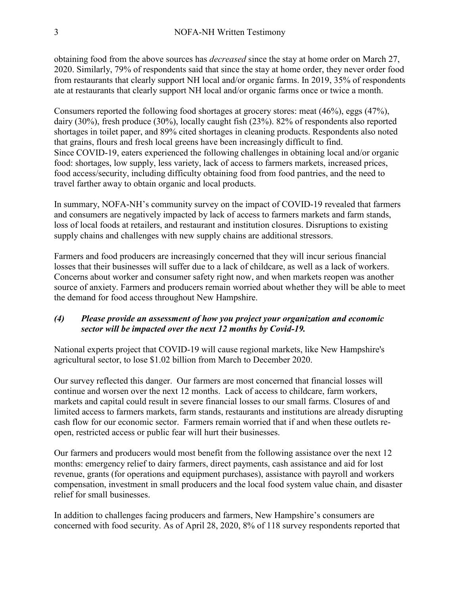obtaining food from the above sources has *decreased* since the stay at home order on March 27, 2020. Similarly, 79% of respondents said that since the stay at home order, they never order food from restaurants that clearly support NH local and/or organic farms. In 2019, 35% of respondents ate at restaurants that clearly support NH local and/or organic farms once or twice a month.

Consumers reported the following food shortages at grocery stores: meat (46%), eggs (47%), dairy (30%), fresh produce (30%), locally caught fish (23%). 82% of respondents also reported shortages in toilet paper, and 89% cited shortages in cleaning products. Respondents also noted that grains, flours and fresh local greens have been increasingly difficult to find. Since COVID-19, eaters experienced the following challenges in obtaining local and/or organic food: shortages, low supply, less variety, lack of access to farmers markets, increased prices, food access/security, including difficulty obtaining food from food pantries, and the need to travel farther away to obtain organic and local products.

In summary, NOFA-NH's community survey on the impact of COVID-19 revealed that farmers and consumers are negatively impacted by lack of access to farmers markets and farm stands, loss of local foods at retailers, and restaurant and institution closures. Disruptions to existing supply chains and challenges with new supply chains are additional stressors.

Farmers and food producers are increasingly concerned that they will incur serious financial losses that their businesses will suffer due to a lack of childcare, as well as a lack of workers. Concerns about worker and consumer safety right now, and when markets reopen was another source of anxiety. Farmers and producers remain worried about whether they will be able to meet the demand for food access throughout New Hampshire.

#### *(4) Please provide an assessment of how you project your organization and economic sector will be impacted over the next 12 months by Covid-19.*

National experts project that COVID-19 will cause regional markets, like New Hampshire's agricultural sector, to lose \$1.02 billion from March to December 2020.

Our survey reflected this danger. Our farmers are most concerned that financial losses will continue and worsen over the next 12 months. Lack of access to childcare, farm workers, markets and capital could result in severe financial losses to our small farms. Closures of and limited access to farmers markets, farm stands, restaurants and institutions are already disrupting cash flow for our economic sector. Farmers remain worried that if and when these outlets reopen, restricted access or public fear will hurt their businesses.

Our farmers and producers would most benefit from the following assistance over the next 12 months: emergency relief to dairy farmers, direct payments, cash assistance and aid for lost revenue, grants (for operations and equipment purchases), assistance with payroll and workers compensation, investment in small producers and the local food system value chain, and disaster relief for small businesses.

In addition to challenges facing producers and farmers, New Hampshire's consumers are concerned with food security. As of April 28, 2020, 8% of 118 survey respondents reported that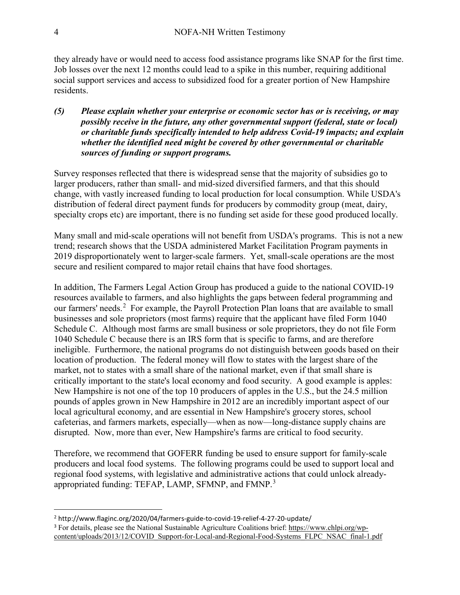they already have or would need to access food assistance programs like SNAP for the first time. Job losses over the next 12 months could lead to a spike in this number, requiring additional social support services and access to subsidized food for a greater portion of New Hampshire residents.

*(5) Please explain whether your enterprise or economic sector has or is receiving, or may possibly receive in the future, any other governmental support (federal, state or local) or charitable funds specifically intended to help address Covid-19 impacts; and explain whether the identified need might be covered by other governmental or charitable sources of funding or support programs.*

Survey responses reflected that there is widespread sense that the majority of subsidies go to larger producers, rather than small- and mid-sized diversified farmers, and that this should change, with vastly increased funding to local production for local consumption. While USDA's distribution of federal direct payment funds for producers by commodity group (meat, dairy, specialty crops etc) are important, there is no funding set aside for these good produced locally.

Many small and mid-scale operations will not benefit from USDA's programs. This is not a new trend; research shows that the USDA administered Market Facilitation Program payments in 2019 disproportionately went to larger-scale farmers. Yet, small-scale operations are the most secure and resilient compared to major retail chains that have food shortages.

In addition, The Farmers Legal Action Group has produced a guide to the national COVID-19 resources available to farmers, and also highlights the gaps between federal programming and our farmers' needs.<sup>2</sup> For example, the Payroll Protection Plan loans that are available to small businesses and sole proprietors (most farms) require that the applicant have filed Form 1040 Schedule C. Although most farms are small business or sole proprietors, they do not file Form 1040 Schedule C because there is an IRS form that is specific to farms, and are therefore ineligible. Furthermore, the national programs do not distinguish between goods based on their location of production. The federal money will flow to states with the largest share of the market, not to states with a small share of the national market, even if that small share is critically important to the state's local economy and food security. A good example is apples: New Hampshire is not one of the top 10 producers of apples in the U.S., but the 24.5 million pounds of apples grown in New Hampshire in 2012 are an incredibly important aspect of our local agricultural economy, and are essential in New Hampshire's grocery stores, school cafeterias, and farmers markets, especially—when as now—long-distance supply chains are disrupted. Now, more than ever, New Hampshire's farms are critical to food security.

Therefore, we recommend that GOFERR funding be used to ensure support for family-scale producers and local food systems. The following programs could be used to support local and regional food systems, with legislative and administrative actions that could unlock alreadyappropriated funding: TEFAP, LAMP, SFMNP, and FMNP.<sup>3</sup>

 $\overline{a}$ <sup>2</sup> http://www.flaginc.org/2020/04/farmers-guide-to-covid-19-relief-4-27-20-update/

<sup>3</sup> For details, please see the National Sustainable Agriculture Coalitions brief: https://www.chlpi.org/wpcontent/uploads/2013/12/COVID\_Support-for-Local-and-Regional-Food-Systems\_FLPC\_NSAC\_final-1.pdf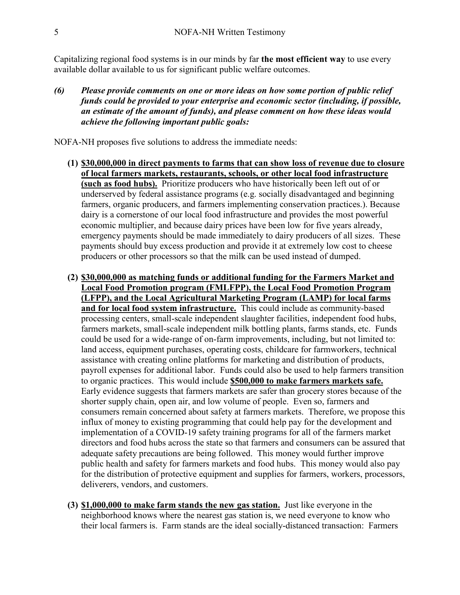Capitalizing regional food systems is in our minds by far **the most efficient way** to use every available dollar available to us for significant public welfare outcomes.

*(6) Please provide comments on one or more ideas on how some portion of public relief funds could be provided to your enterprise and economic sector (including, if possible, an estimate of the amount of funds), and please comment on how these ideas would achieve the following important public goals:*

NOFA-NH proposes five solutions to address the immediate needs:

- **(1) \$30,000,000 in direct payments to farms that can show loss of revenue due to closure of local farmers markets, restaurants, schools, or other local food infrastructure (such as food hubs).** Prioritize producers who have historically been left out of or underserved by federal assistance programs (e.g. socially disadvantaged and beginning farmers, organic producers, and farmers implementing conservation practices.). Because dairy is a cornerstone of our local food infrastructure and provides the most powerful economic multiplier, and because dairy prices have been low for five years already, emergency payments should be made immediately to dairy producers of all sizes. These payments should buy excess production and provide it at extremely low cost to cheese producers or other processors so that the milk can be used instead of dumped.
- **(2) \$30,000,000 as matching funds or additional funding for the Farmers Market and Local Food Promotion program (FMLFPP), the Local Food Promotion Program (LFPP), and the Local Agricultural Marketing Program (LAMP) for local farms and for local food system infrastructure.** This could include as community-based processing centers, small-scale independent slaughter facilities, independent food hubs, farmers markets, small-scale independent milk bottling plants, farms stands, etc. Funds could be used for a wide-range of on-farm improvements, including, but not limited to: land access, equipment purchases, operating costs, childcare for farmworkers, technical assistance with creating online platforms for marketing and distribution of products, payroll expenses for additional labor. Funds could also be used to help farmers transition to organic practices. This would include **\$500,000 to make farmers markets safe.** Early evidence suggests that farmers markets are safer than grocery stores because of the shorter supply chain, open air, and low volume of people. Even so, farmers and consumers remain concerned about safety at farmers markets. Therefore, we propose this influx of money to existing programming that could help pay for the development and implementation of a COVID-19 safety training programs for all of the farmers market directors and food hubs across the state so that farmers and consumers can be assured that adequate safety precautions are being followed. This money would further improve public health and safety for farmers markets and food hubs. This money would also pay for the distribution of protective equipment and supplies for farmers, workers, processors, deliverers, vendors, and customers.
- **(3) \$1,000,000 to make farm stands the new gas station.** Just like everyone in the neighborhood knows where the nearest gas station is, we need everyone to know who their local farmers is. Farm stands are the ideal socially-distanced transaction: Farmers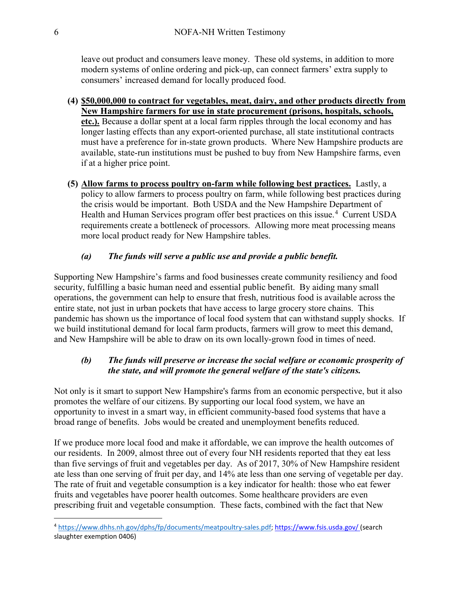leave out product and consumers leave money. These old systems, in addition to more modern systems of online ordering and pick-up, can connect farmers' extra supply to consumers' increased demand for locally produced food.

- **(4) \$50,000,000 to contract for vegetables, meat, dairy, and other products directly from New Hampshire farmers for use in state procurement (prisons, hospitals, schools, etc.).** Because a dollar spent at a local farm ripples through the local economy and has longer lasting effects than any export-oriented purchase, all state institutional contracts must have a preference for in-state grown products. Where New Hampshire products are available, state-run institutions must be pushed to buy from New Hampshire farms, even if at a higher price point.
- **(5) Allow farms to process poultry on-farm while following best practices.** Lastly, a policy to allow farmers to process poultry on farm, while following best practices during the crisis would be important. Both USDA and the New Hampshire Department of Health and Human Services program offer best practices on this issue.<sup>4</sup> Current USDA requirements create a bottleneck of processors. Allowing more meat processing means more local product ready for New Hampshire tables.

# *(a) The funds will serve a public use and provide a public benefit.*

Supporting New Hampshire's farms and food businesses create community resiliency and food security, fulfilling a basic human need and essential public benefit. By aiding many small operations, the government can help to ensure that fresh, nutritious food is available across the entire state, not just in urban pockets that have access to large grocery store chains. This pandemic has shown us the importance of local food system that can withstand supply shocks. If we build institutional demand for local farm products, farmers will grow to meet this demand, and New Hampshire will be able to draw on its own locally-grown food in times of need.

# *(b) The funds will preserve or increase the social welfare or economic prosperity of the state, and will promote the general welfare of the state's citizens.*

Not only is it smart to support New Hampshire's farms from an economic perspective, but it also promotes the welfare of our citizens. By supporting our local food system, we have an opportunity to invest in a smart way, in efficient community-based food systems that have a broad range of benefits. Jobs would be created and unemployment benefits reduced.

If we produce more local food and make it affordable, we can improve the health outcomes of our residents. In 2009, almost three out of every four NH residents reported that they eat less than five servings of fruit and vegetables per day. As of 2017, 30% of New Hampshire resident ate less than one serving of fruit per day, and 14% ate less than one serving of vegetable per day. The rate of fruit and vegetable consumption is a key indicator for health: those who eat fewer fruits and vegetables have poorer health outcomes. Some healthcare providers are even prescribing fruit and vegetable consumption. These facts, combined with the fact that New

 $\overline{a}$ 

<sup>4</sup> https://www.dhhs.nh.gov/dphs/fp/documents/meatpoultry-sales.pdf; https://www.fsis.usda.gov/ (search slaughter exemption 0406)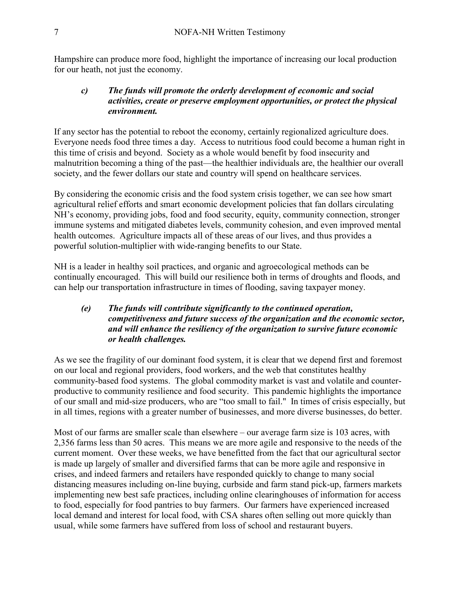Hampshire can produce more food, highlight the importance of increasing our local production for our heath, not just the economy.

#### *c) The funds will promote the orderly development of economic and social activities, create or preserve employment opportunities, or protect the physical environment.*

If any sector has the potential to reboot the economy, certainly regionalized agriculture does. Everyone needs food three times a day. Access to nutritious food could become a human right in this time of crisis and beyond. Society as a whole would benefit by food insecurity and malnutrition becoming a thing of the past—the healthier individuals are, the healthier our overall society, and the fewer dollars our state and country will spend on healthcare services.

By considering the economic crisis and the food system crisis together, we can see how smart agricultural relief efforts and smart economic development policies that fan dollars circulating NH's economy, providing jobs, food and food security, equity, community connection, stronger immune systems and mitigated diabetes levels, community cohesion, and even improved mental health outcomes. Agriculture impacts all of these areas of our lives, and thus provides a powerful solution-multiplier with wide-ranging benefits to our State.

NH is a leader in healthy soil practices, and organic and agroecological methods can be continually encouraged. This will build our resilience both in terms of droughts and floods, and can help our transportation infrastructure in times of flooding, saving taxpayer money.

## *(e) The funds will contribute significantly to the continued operation, competitiveness and future success of the organization and the economic sector, and will enhance the resiliency of the organization to survive future economic or health challenges.*

As we see the fragility of our dominant food system, it is clear that we depend first and foremost on our local and regional providers, food workers, and the web that constitutes healthy community-based food systems. The global commodity market is vast and volatile and counterproductive to community resilience and food security. This pandemic highlights the importance of our small and mid-size producers, who are "too small to fail." In times of crisis especially, but in all times, regions with a greater number of businesses, and more diverse businesses, do better.

Most of our farms are smaller scale than elsewhere – our average farm size is 103 acres, with 2,356 farms less than 50 acres. This means we are more agile and responsive to the needs of the current moment. Over these weeks, we have benefitted from the fact that our agricultural sector is made up largely of smaller and diversified farms that can be more agile and responsive in crises, and indeed farmers and retailers have responded quickly to change to many social distancing measures including on-line buying, curbside and farm stand pick-up, farmers markets implementing new best safe practices, including online clearinghouses of information for access to food, especially for food pantries to buy farmers. Our farmers have experienced increased local demand and interest for local food, with CSA shares often selling out more quickly than usual, while some farmers have suffered from loss of school and restaurant buyers.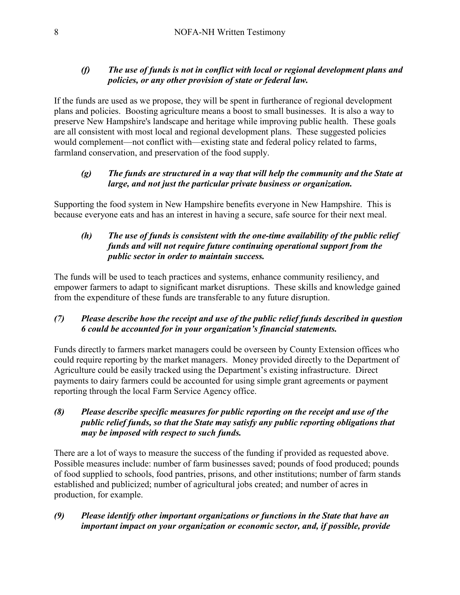## *(f) The use of funds is not in conflict with local or regional development plans and policies, or any other provision of state or federal law.*

If the funds are used as we propose, they will be spent in furtherance of regional development plans and policies. Boosting agriculture means a boost to small businesses. It is also a way to preserve New Hampshire's landscape and heritage while improving public health. These goals are all consistent with most local and regional development plans. These suggested policies would complement—not conflict with—existing state and federal policy related to farms, farmland conservation, and preservation of the food supply.

## *(g) The funds are structured in a way that will help the community and the State at large, and not just the particular private business or organization.*

Supporting the food system in New Hampshire benefits everyone in New Hampshire. This is because everyone eats and has an interest in having a secure, safe source for their next meal.

#### *(h) The use of funds is consistent with the one-time availability of the public relief funds and will not require future continuing operational support from the public sector in order to maintain success.*

The funds will be used to teach practices and systems, enhance community resiliency, and empower farmers to adapt to significant market disruptions. These skills and knowledge gained from the expenditure of these funds are transferable to any future disruption.

## *(7) Please describe how the receipt and use of the public relief funds described in question 6 could be accounted for in your organization's financial statements.*

Funds directly to farmers market managers could be overseen by County Extension offices who could require reporting by the market managers. Money provided directly to the Department of Agriculture could be easily tracked using the Department's existing infrastructure. Direct payments to dairy farmers could be accounted for using simple grant agreements or payment reporting through the local Farm Service Agency office.

## *(8) Please describe specific measures for public reporting on the receipt and use of the public relief funds, so that the State may satisfy any public reporting obligations that may be imposed with respect to such funds.*

There are a lot of ways to measure the success of the funding if provided as requested above. Possible measures include: number of farm businesses saved; pounds of food produced; pounds of food supplied to schools, food pantries, prisons, and other institutions; number of farm stands established and publicized; number of agricultural jobs created; and number of acres in production, for example.

# *(9) Please identify other important organizations or functions in the State that have an important impact on your organization or economic sector, and, if possible, provide*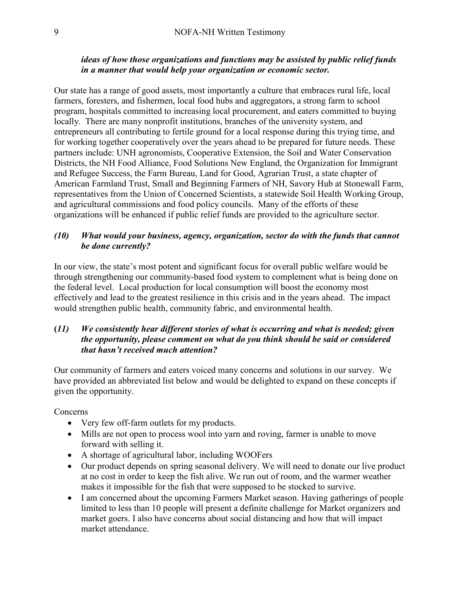#### *ideas of how those organizations and functions may be assisted by public relief funds in a manner that would help your organization or economic sector.*

Our state has a range of good assets, most importantly a culture that embraces rural life, local farmers, foresters, and fishermen, local food hubs and aggregators, a strong farm to school program, hospitals committed to increasing local procurement, and eaters committed to buying locally. There are many nonprofit institutions, branches of the university system, and entrepreneurs all contributing to fertile ground for a local response during this trying time, and for working together cooperatively over the years ahead to be prepared for future needs. These partners include: UNH agronomists, Cooperative Extension, the Soil and Water Conservation Districts, the NH Food Alliance, Food Solutions New England, the Organization for Immigrant and Refugee Success, the Farm Bureau, Land for Good, Agrarian Trust, a state chapter of American Farmland Trust, Small and Beginning Farmers of NH, Savory Hub at Stonewall Farm, representatives from the Union of Concerned Scientists, a statewide Soil Health Working Group, and agricultural commissions and food policy councils. Many of the efforts of these organizations will be enhanced if public relief funds are provided to the agriculture sector.

#### *(10) What would your business, agency, organization, sector do with the funds that cannot be done currently?*

In our view, the state's most potent and significant focus for overall public welfare would be through strengthening our community-based food system to complement what is being done on the federal level. Local production for local consumption will boost the economy most effectively and lead to the greatest resilience in this crisis and in the years ahead. The impact would strengthen public health, community fabric, and environmental health.

#### **(***11) We consistently hear different stories of what is occurring and what is needed; given the opportunity, please comment on what do you think should be said or considered that hasn't received much attention?*

Our community of farmers and eaters voiced many concerns and solutions in our survey. We have provided an abbreviated list below and would be delighted to expand on these concepts if given the opportunity.

**Concerns** 

- Very few off-farm outlets for my products.
- Mills are not open to process wool into yarn and roving, farmer is unable to move forward with selling it.
- A shortage of agricultural labor, including WOOFers
- Our product depends on spring seasonal delivery. We will need to donate our live product at no cost in order to keep the fish alive. We run out of room, and the warmer weather makes it impossible for the fish that were supposed to be stocked to survive.
- I am concerned about the upcoming Farmers Market season. Having gatherings of people limited to less than 10 people will present a definite challenge for Market organizers and market goers. I also have concerns about social distancing and how that will impact market attendance.